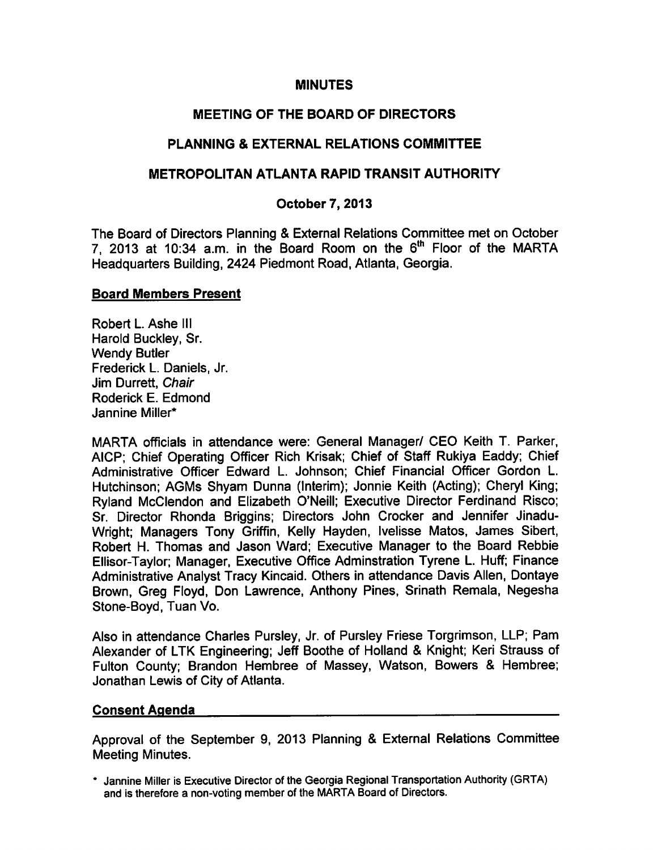#### **MINUTES**

### MEETING OF THE BOARD OF DIRECTORS

### PLANNING & EXTERNAL RELATIONS COMMITTEE

### METROPOLITAN ATLANTA RAPID TRANSIT AUTHORITY

### October 7, 2013

The Board of Directors Planning & External Relations Committee met on October 7, 2013 at 10:34 a.m. in the Board Room on the  $6<sup>th</sup>$  Floor of the MARTA Headquarters Building, 2424 Piedmont Road, Atlanta, Georgia.

#### Board Members Present

Robert L. Ashe III Harold Buckley, Sr. Wendy Butler Frederick L. Daniels, Jr. Jim Durrett, Chair Roderick E. Edmond Jannine Miller\*

MARTA officials in attendance were: General Manager/ CEO Keith T. Parker, AICP; Chief Operating Officer Rich Krisak; Chief of Staff Rukiya Eaddy; Chief Administrative Officer Edward L. Johnson; Chief Financial Officer Gordon L. Hutchinson; AGMs Shyam Dunna (Interim); Jonnie Keith (Acting); Cheryl King; Ryland McClendon and Elizabeth O'Neill; Executive Director Ferdinand Risco; Sr. Director Rhonda Briggins; Directors John Crocker and Jennifer Jinadu-Wright; Managers Tony Griffin, Kelly Hayden, Ivelisse Matos, James Sibert, Robert H. Thomas and Jason Ward; Executive Manager to the Board Rebbie Ellisor-Taylor; Manager, Executive Office Adminstration Tyrene L. Huff; Finance Administrative Analyst Tracy Kincaid. Others in attendance Davis Allen, Dontaye Brown, Greg Floyd, Don Lawrence, Anthony Pines, Srinath Remala, Negesha Stone-Boyd, Tuan Vo.

Also in attendance Charles Pursley, Jr. of Pursley Friese Torgrimson, LLP; Pam Alexander of LTK Engineering; Jeff Boothe of Holland & Knight; Keri Strauss of Fulton County; Brandon Hembree of Massey, Watson, Bowers & Hembree; Jonathan Lewis of City of Atlanta.

#### Consent Agenda

Approval of the September 9, 2013 Planning & External Relations Committee Meeting Minutes.

Jannine Miller is Executive Director of the Georgia Regional Transportation Authority (GRTA) and is therefore a non-voting member of the MARTA Board of Directors.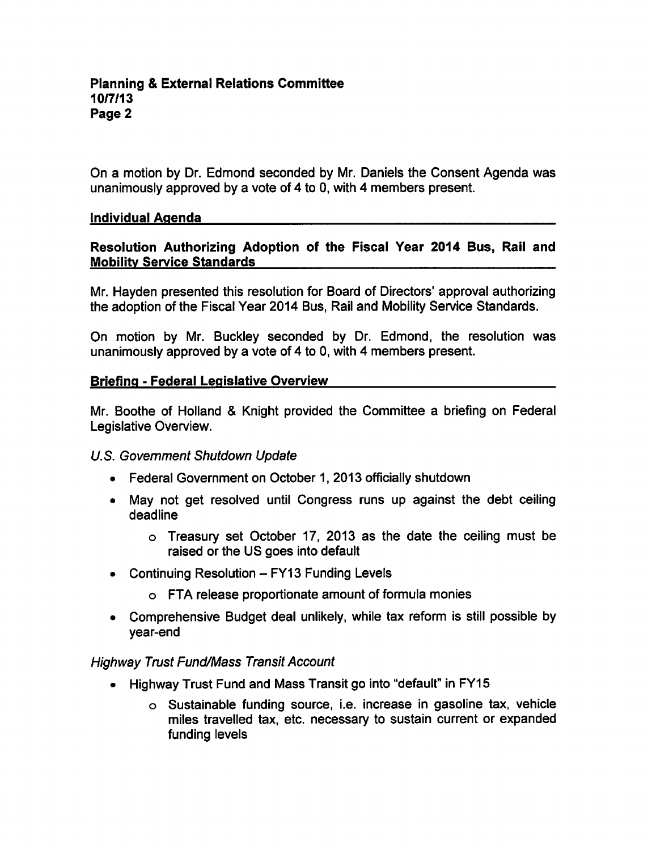On a motion by Dr. Edmond seconded by Mr. Daniels the Consent Agenda was unanimously approved by a vote of 4 to 0, with 4 members present.

#### Individual Agenda

### Resolution Authorizing Adoption of the Fiscal Year 2014 Bus, Rail and Mobility Service Standards

Mr. Hayden presented this resolution for Board of Directors' approval authorizing the adoption of the Fiscal Year 2014 Bus, Rail and Mobility Service Standards.

On motion by Mr. Buckley seconded by Dr. Edmond, the resolution was unanimously approved by a vote of 4 to 0, with 4 members present.

#### Briefing - Federal Legislative Overview

Mr. Boothe of Holland & Knight provided the Committee a briefing on Federal Legislative Overview.

### U.S. Government Shutdown Update

- Federal Government on October 1, 2013 officially shutdown
- May not get resolved until Congress runs up against the debt ceiling deadline
	- Treasury set October 17, 2013 as the date the ceiling must be raised or the US goes into default
- Continuing Resolution  $-$  FY13 Funding Levels
	- FTA release proportionate amount of formula monies
- Comprehensive Budget deal unlikely, while tax reform is still possible by year-end

### Highway Trust Fund/Mass Transit Account

- Highway Trust Fund and Mass Transit go into "default" in FY15
	- Sustainable funding source, i.e. increase in gasoline tax, vehicle miles travelled tax, etc. necessary to sustain current or expanded funding levels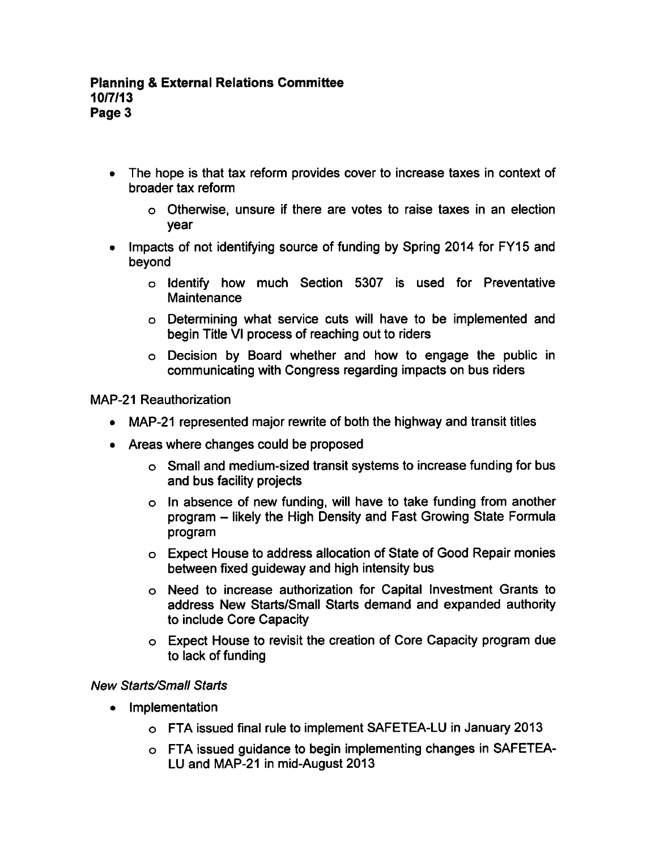- The hope is that tax reform provides cover to increase taxes in context of broader tax reform
	- Otherwise, unsure if there are votes to raise taxes in an election year
- Impacts of not identifying source of funding by Spring 2014 for FY15 and  $\bullet$ beyond
	- o Identify how much Section 5307 is used for Preventative **Maintenance**
	- Determining what service cuts will have to be implemented and begin Title VI process of reaching out to riders
	- Decision by Board whether and how to engage the public in communicating with Congress regarding impacts on bus riders

MAP-21 Reauthorization

- MAP-21 represented major rewrite of both the highway and transit titles
- Areas where changes could be proposed
	- Small and medium-sized transit systems to increase funding for bus and bus facility projects
	- $\circ$  In absence of new funding, will have to take funding from another program – likely the High Density and Fast Growing State Formula program
	- Expect House to address allocation of State of Good Repair monies between fixed guideway and high intensity bus
	- Need to increase authorization for Capital Investment Grants to address New Starts/Small Starts demand and expanded authority to include Core Capacity
	- Expect House to revisit the creation of Core Capacity program due to lack of funding

# New Starts/Small Starts

- Implementation  $\bullet$ 
	- FTA issued final rule to implement SAFETEA-LU in January 2013
	- FTA issued guidance to begin implementing changes in SAFETEA-LU and MAP-21 in mid-August 2013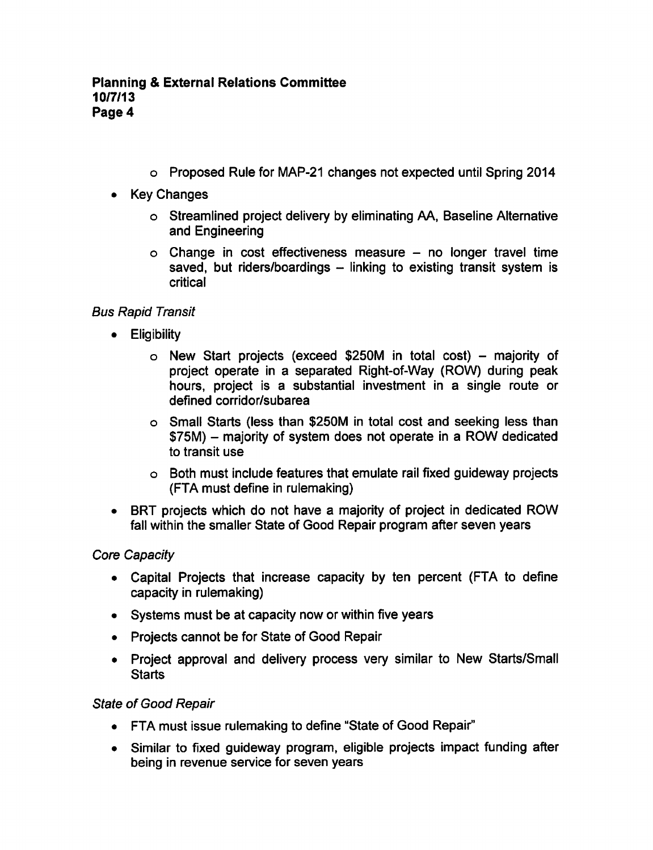- Proposed Rule for MAP-21 changes not expected until Spring 2014
- Key Changes
	- Streamlined project delivery by eliminating AA, Baseline Alternative and Engineering
	- $\circ$  Change in cost effectiveness measure no longer travel time saved, but riders/boardings  $-$  linking to existing transit system is critical

# Bus Rapid Transit

- **•** Eligibility
	- $\circ$  New Start projects (exceed \$250M in total cost) majority of project operate in a separated Right-of-Way (ROW) during peak hours, project is a substantial investment in a single route or defined corridor/subarea
	- Small Starts (less than \$250M in total cost and seeking less than \$75M) – majority of system does not operate in a ROW dedicated to transit use
	- Both must include features that emulate rail fixed guideway projects (FTA must define in rulemaking)
- BRT projects which do not have a majority of project in dedicated ROW fall within the smaller State of Good Repair program after seven years

# Core Capacity

- Capital Projects that increase capacity by ten percent (FTA to define capacity in rulemaking)
- Systems must be at capacity now or within five years
- Projects cannot be for State of Good Repair
- Project approval and delivery process very similar to New Starts/Small **Starts**

# State of Good Repair

- FTA must issue rulemaking to define "State of Good Repair"
- Similar to fixed guideway program, eligible projects impact funding after being in revenue service for seven years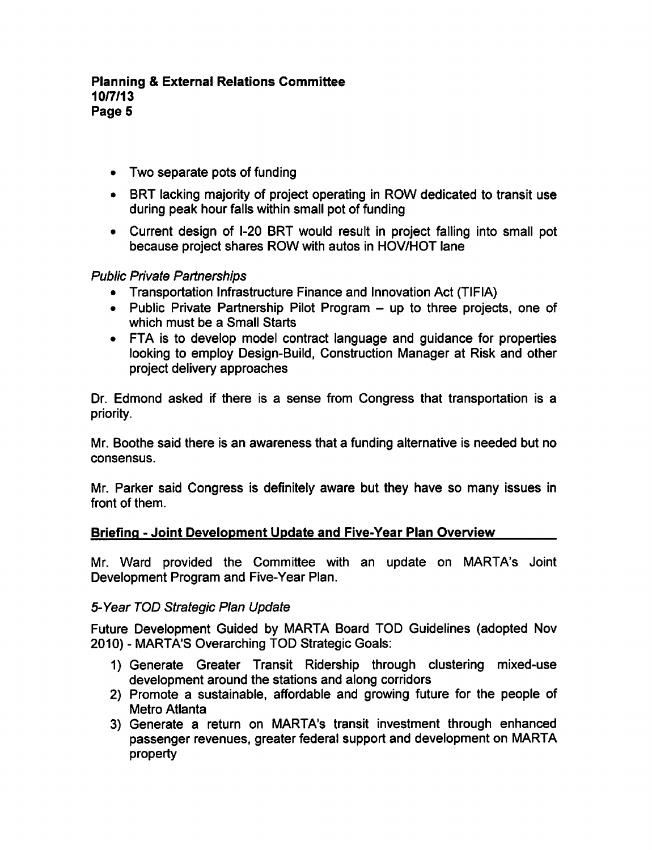- Two separate pots of funding
- BRT lacking majority of project operating in ROW dedicated to transit use during peak hour falls within small pot of funding
- Current design of I-20 BRT would result in project falling into small pot because project shares ROW with autos in HOV/HOT lane

### Public Private Partnerships

- Transportation Infrastructure Finance and Innovation Act (TIFIA)
- Public Private Partnership Pilot Program  $-$  up to three projects, one of which must be a Small Starts
- FTA is to develop model contract language and guidance for properties looking to employ Design-Build, Construction Manager at Risk and other project delivery approaches

Dr. Edmond asked if there is a sense from Congress that transportation is a priority.

Mr. Boothe said there is an awareness that a funding alternative is needed but no consensus.

Mr. Parker said Congress is definitely aware but they have so many issues in front of them.

### Briefing - Joint Development Update and Five-Year Plan Overview

Mr. Ward provided the Committee with an update on MARTA's Joint Development Program and Five-Year Plan.

### 5-Year TOD Strategic Plan Update

Future Development Guided by MARTA Board TOD Guidelines (adopted Nov 2010) - MARTA'S Overarching TOD Strategic Goals:

- 1) Generate Greater Transit Ridership through clustering mixed-use development around the stations and along corridors
- 2) Promote a sustainable, affordable and growing future for the people of Metro Atlanta
- 3) Generate a return on MARTA's transit investment through enhanced passenger revenues, greater federal support and development on MARTA property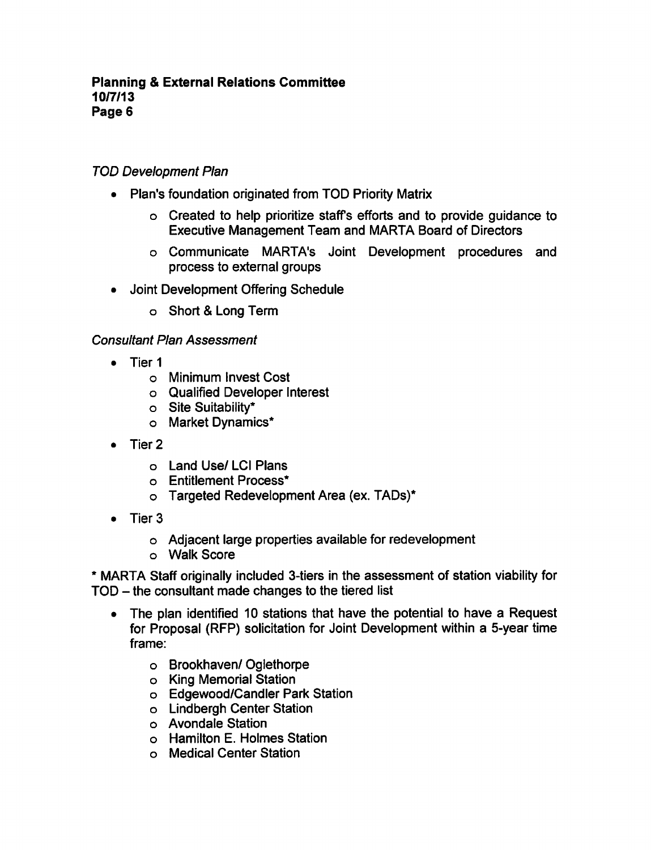# TOD Development Plan

- Plan's foundation originated from TOD Priority Matrix
	- Created to help prioritize staff's efforts and to provide guidance to Executive Management Team and MARTA Board of Directors
	- Communicate MARTA's Joint Development procedures and process to external groups
- Joint Development Offering Schedule  $\bullet$ 
	- o Short & Long Term

### Consultant Plan Assessment

- Tier 1
	- Minimum Invest Cost
	- Qualified Developer Interest
	- Site Suitability\*
	- Market Dynamics\*
- Tier 2
	- Land Use/ LCI Plans
	- Entitlement Process\*
	- Targeted Redevelopment Area (ex. TADs)\*
- $\bullet$  Tier 3
	- Adjacent large properties available for redevelopment
	- Walk Score

MARTA Staff originally included 3-tiers in the assessment of station viability for  $TOD -$  the consultant made changes to the tiered list

- The plan identified 10 stations that have the potential to have a Request  $\bullet$ for Proposal (RFP) solicitation for Joint Development within a 5-year time frame:
	- Brookhaven/ Oglethorpe
	- King Memorial Station
	- Edgewood/Candler Park Station
	- Lindbergh Center Station
	- Avondale Station
	- Hamilton E. Holmes Station
	- Medical Center Station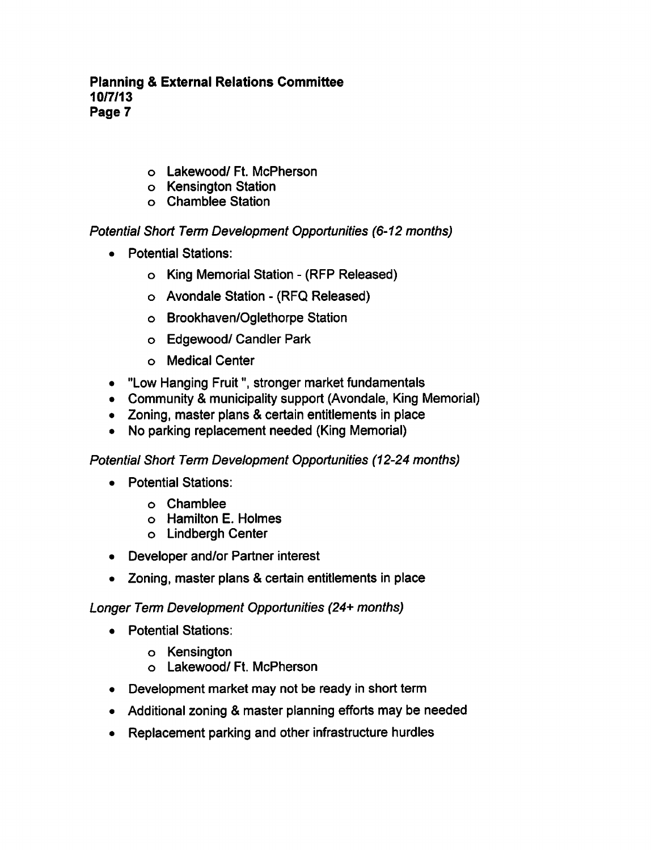### **Planning & External Relations Committee** 10/7/13 Page 7

- o Lakewood/ Ft. McPherson
- o Kensington Station
- Chamblee Station

Potential Short Term Development Opportunities (6-12 months)

- Potential Stations:  $\bullet$ 
	- o King Memorial Station (RFP Released)
	- Avondale Station (RFQ Released)
	- Brookhaven/Oglethorpe Station
	- Edgewood/ Candler Park
	- Medical Center
- "Low Hanging Fruit", stronger market fundamentals
- Community & municipality support (Avondale, King Memorial)
- Zoning, master plans & certain entitlements in place
- No parking replacement needed (King Memorial)  $\bullet$

Potential Short Term Development Opportunities (12-24 months)

- Potential Stations:  $\bullet$ 
	- Chamblee
	- Hamilton E. Holmes
	- Lindbergh Center
- Developer and/or Partner interest
- Zoning, master plans & certain entitlements in place

Longer Term Development Opportunities (24+ months)

- Potential Stations:
	- Kensington
	- Lakewood/ Ft. McPherson
- Development market may not be ready in short term
- Additional zoning & master planning efforts may be needed
- Replacement parking and other infrastructure hurdles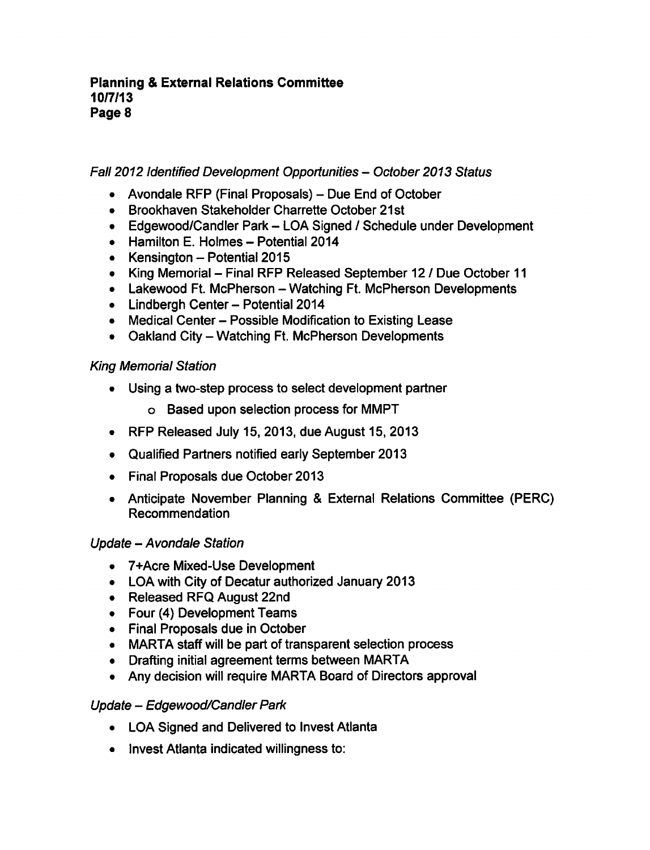Fall 2012 Identified Development Opportunities - October 2013 Status

- Avondale RFP (Final Proposals)  $-$  Due End of October
- Brookhaven Stakeholder Charrette October 21st
- Edgewood/Candler Park LOA Signed / Schedule under Development
- $\bullet$  Hamilton E. Holmes Potential 2014
- Kensington  $-$  Potential 2015
- King Memorial Final RFP Released September 12 / Due October 11
- Lakewood Ft. McPherson Watching Ft. McPherson Developments
- Lindbergh Center Potential 2014
- Medical Center Possible Modification to Existing Lease
- Oakland City Watching Ft. McPherson Developments

# King Memorial Station

- Using a two-step process to select development partner  $\bullet$ 
	- Based upon selection process for MMPT
- RFP Released July 15, 2013, due August 15, 2013
- Qualified Partners notified early September 2013
- Final Proposals due October 2013
- Anticipate November Planning & External Relations Committee (PERC) Recommendation

# Update - Avondale Station

- 7+Acre Mixed-Use Development
- LOA with City of Decatur authorized January 2013
- Released RFQ August 22nd
- Four (4) Development Teams
- Final Proposals due in October
- MARTA staff will be part of transparent selection process
- Drafting initial agreement terms between MARTA
- Any decision will require MARTA Board of Directors approval

# Update - Edgewood/Candler Park

- LOA Signed and Delivered to Invest Atlanta
- Invest Atlanta indicated willingness to: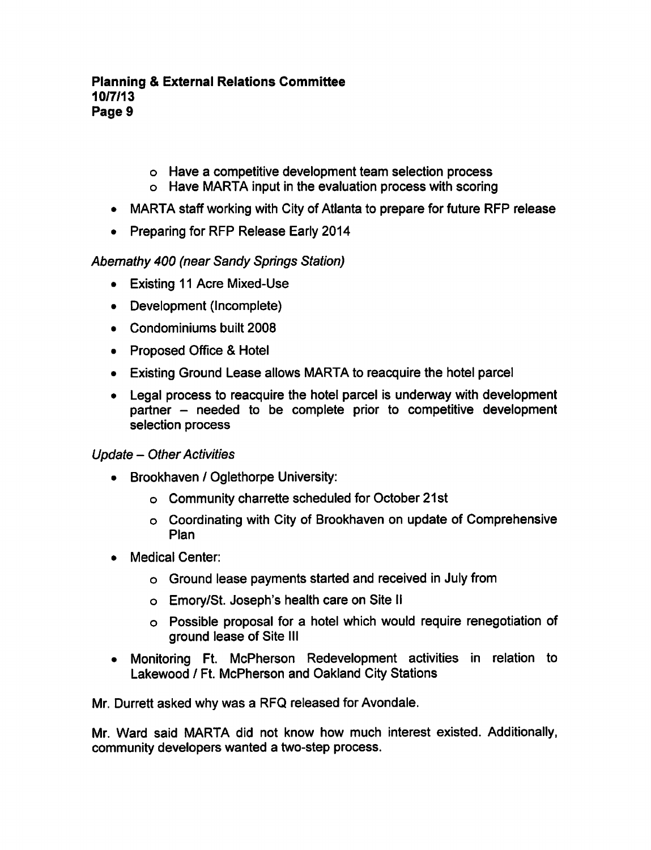### Planning External Relations Committee 10/7/13 Page

- Have competitive development team selection process
- Have MARTA input in the evaluation process with scoring
- MARTA staff working with City of Atlanta to prepare for future RFP release
- Preparing for RFP Release Early 2014  $\bullet$

# Abemathy 400 (near Sandy Springs Station)

- Existing 11 Acre Mixed-Use
- Development (Incomplete)
- Condominiums built 2008
- Proposed Office & Hotel
- Existing Ground Lease allows MARTA to reacquire the hotel parcel
- Legal process to reacquire the hotel parcel is underway with development  $partner$  – needed to be complete prior to competitive development selection process

# Update - Other Activities

- Brookhaven / Oglethorpe University:
	- o Community charrette scheduled for October 21st
	- Coordinating with City of Brookhaven on update of Comprehensive Plan
- Medical Center:  $\bullet$ 
	- Ground lease payments started and received in July from
	- Emory/St. Joseph's health care on Site II
	- $\circ$  Possible proposal for a hotel which would require renegotiation of ground lease of Site III
- Monitoring Ft. McPherson Redevelopment activities in relation to Lakewood / Ft. McPherson and Oakland City Stations

Mr. Durrett asked why was a RFQ released for Avondale.

Mr. Ward said MARTA did not know how much interest existed. Additionally, community developers wanted a two-step process.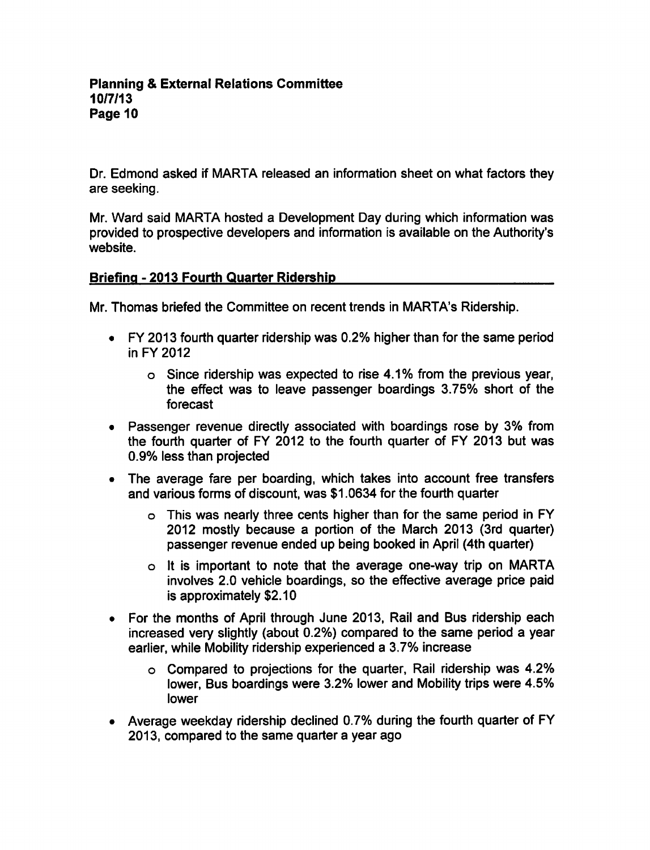Dr. Edmond asked if MARTA released an information sheet on what factors they are seeking.

Mr. Ward said MARTA hosted a Development Day during which information was provided to prospective developers and information is available on the Authority's website.

### Briefing 2013 Fourth Quarter Ridership

Mr. Thomas briefed the Committee on recent trends in MARTA's Ridership.

- FY 2013 fourth quarter ridership was 0.2% higher than for the same period in FY 2012
	- $\circ$  Since ridership was expected to rise 4.1% from the previous year, the effect was to leave passenger boardings 3.75% short of the forecast
- Passenger revenue directly associated with boardings rose by 3% from the fourth quarter of FY 2012 to the fourth quarter of FY 2013 but was 0.9% less than projected
- The average fare per boarding, which takes into account free transfers and various forms of discount, was \$1.0634 for the fourth quarter
	- This was nearly three cents higher than for the same period in FY 2012 mostly because a portion of the March 2013 (3rd quarter) passenger revenue ended up being booked in April (4th quarter)
	- It is important to note that the average one-way trip on MARTA involves 2.0 vehicle boardings, so the effective average price paid is approximately \$2.10
- For the months of April through June 2013, Rail and Bus ridership each increased very slightly (about 0.2%) compared to the same period a year earlier, while Mobility ridership experienced 3.7% increase
	- Compared to projections for the quarter, Rail ridership was 4.2% lower, Bus boardings were 3.2% lower and Mobility trips were 4.5% lower
- Average weekday ridership declined 0.7% during the fourth quarter of FY 2013, compared to the same quarter a year ago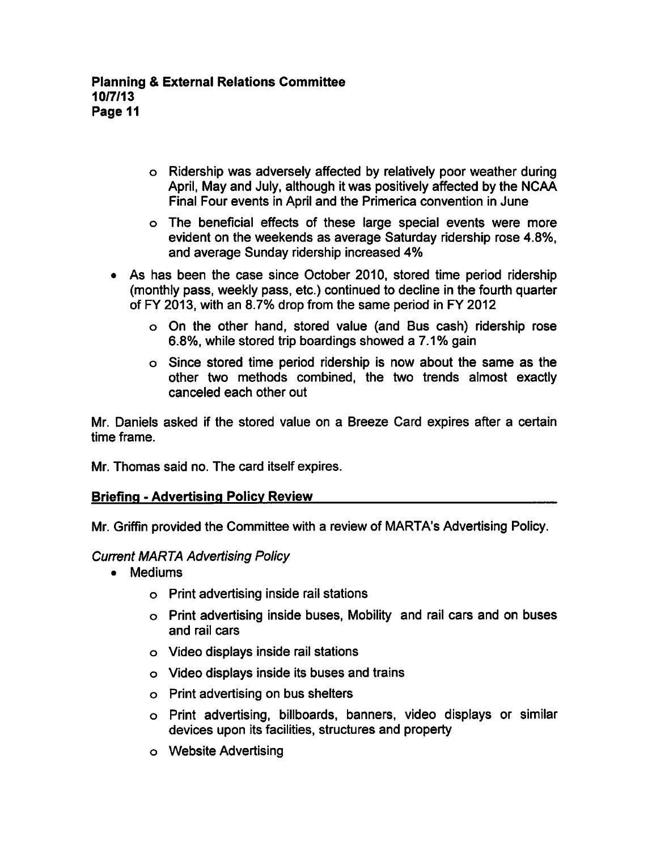- Ridership was adversely affected by relatively poor weather during April, May and July, although it was positively affected by the NCAA Final Four events in April and the Primerica convention in June
- The beneficial effects of these large special events were more evident on the weekends as average Saturday ridership rose 4.8%, and average Sunday ridership increased 4%
- As has been the case since October 2010, stored time period ridership (monthly pass, weekly pass, etc.) continued to decline in the fourth quarter of FY 2013, with an 8.7% drop from the same period in FY 2012
	- On the other hand, stored value (and Bus cash) ridership rose 6.8%, while stored trip boardings showed a 7.1% gain
	- Since stored time period ridership is now about the same as the other two methods combined, the two trends almost exactly canceled each other out

Mr. Daniels asked if the stored value on a Breeze Card expires after a certain time frame.

Mr. Thomas said no. The card itself expires.

# **Briefing - Advertising Policy Review**

Mr. Griffin provided the Committee with a review of MARTA's Advertising Policy.

# Current MARTA Advertising Policy

- Mediums
	- Print advertising inside rail stations
	- Print advertising inside buses, Mobility and rail cars and on buses and rail cars
	- Video displays inside rail stations
	- Video displays inside its buses and trains
	- Print advertising on bus shelters
	- Print advertising, billboards, banners, video displays or similar devices upon its facilities, structures and property
	- Website Advertising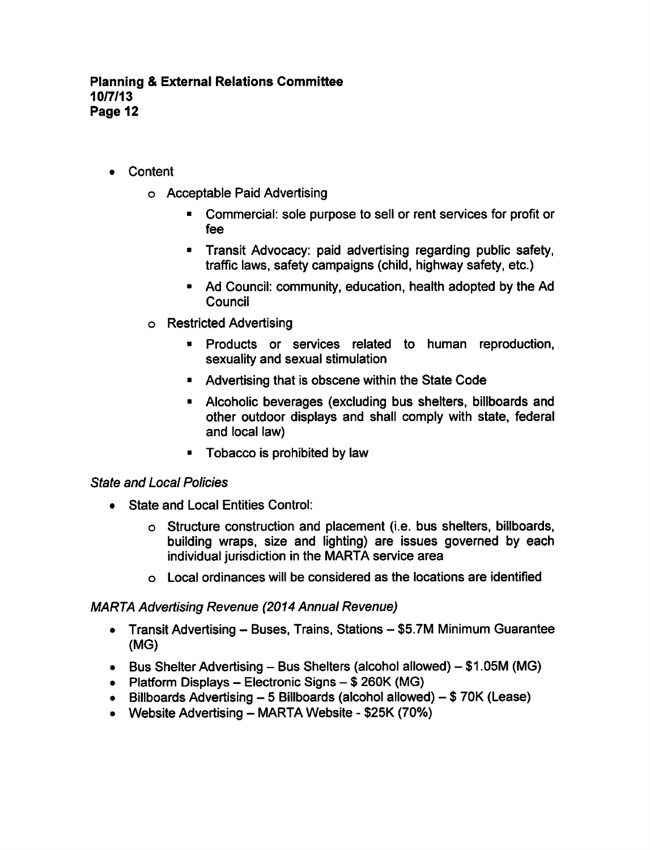- **Content** 
	- Acceptable Paid Advertising
		- Commercial: sole purpose to sell or rent services for profit or fee
		- Transit Advocacy: paid advertising regarding public safety, traffic laws, safety campaigns (child, highway safety, etc.)
		- Ad Council: community, education, health adopted by the Ad **Council**
	- Restricted Advertising
		- $\blacksquare$ Products or services related to human reproduction, sexuality and sexual stimulation
		- **Advertising that is obscene within the State Code**
		- Alcoholic beverages (excluding bus shelters, billboards and other outdoor displays and shall comply with state, federal and local law)
		- Tobacco is prohibited by law  $\blacksquare$

### State and Local Policies

- State and Local Entities Control:  $\bullet$ 
	- Structure construction and placement (i.e. bus shelters, billboards, building wraps, size and lighting) are issues governed by each individual jurisdiction in the MARTA service area
	- Local ordinances will be considered as the locations are identified

### MARTA Advertising Revenue (2014 Annual Revenue)

- Transit Advertising Buses, Trains, Stations \$5.7M Minimum Guarantee (MG)
- Bus Shelter Advertising Bus Shelters (alcohol allowed)  $$1.05M$  (MG)
- Platform Displays Electronic Signs  $$260K(MG)$
- $\bullet$  Billboards Advertising 5 Billboards (alcohol allowed) \$70K (Lease)
- Website Advertising  $-$  MARTA Website \$25K (70%)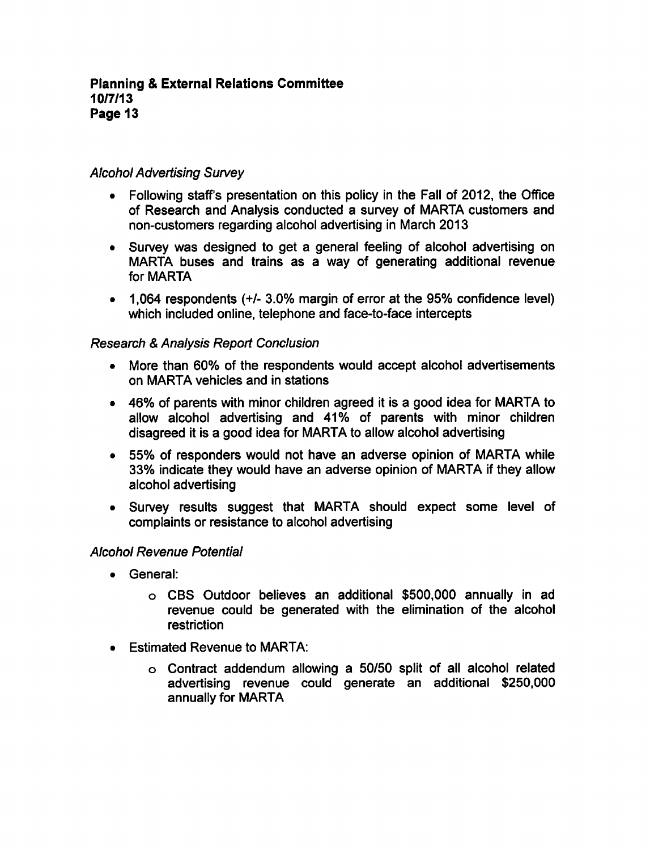### Alcohol Advertising Survey

- Following staff's presentation on this policy in the Fall of 2012, the Office of Research and Analysis conducted a survey of MARTA customers and non-customers regarding alcohol advertising in March 2013
- Survey was designed to get a general feeling of alcohol advertising on MARTA buses and trains as a way of generating additional revenue for MARTA
- 1,064 respondents (+/- 3.0% margin of error at the 95% confidence level) which included online, telephone and face-to-face intercepts

### **Research & Analysis Report Conclusion**

- More than 60% of the respondents would accept alcohol advertisements on MARTA vehicles and in stations
- 46% of parents with minor children agreed it is a good idea for MARTA to allow alcohol advertising and 41% of parents with minor children disagreed it is a good idea for MARTA to allow alcohol advertising
- 55% of responders would not have an adverse opinion of MARTA while 33% indicate they would have an adverse opinion of MARTA if they allow alcohol advertising
- Survey results suggest that MARTA should expect some level of complaints or resistance to alcohol advertising

### Alcohol Revenue Potential

- General:
	- CBS Outdoor believes an additional \$500,000 annually in ad revenue could be generated with the elimination of the alcohol **restriction**
- Estimated Revenue to MARTA:
	- Contract addendum allowing 50/50 split of all alcohol related advertising revenue could generate an additional \$250,000 annually for MARTA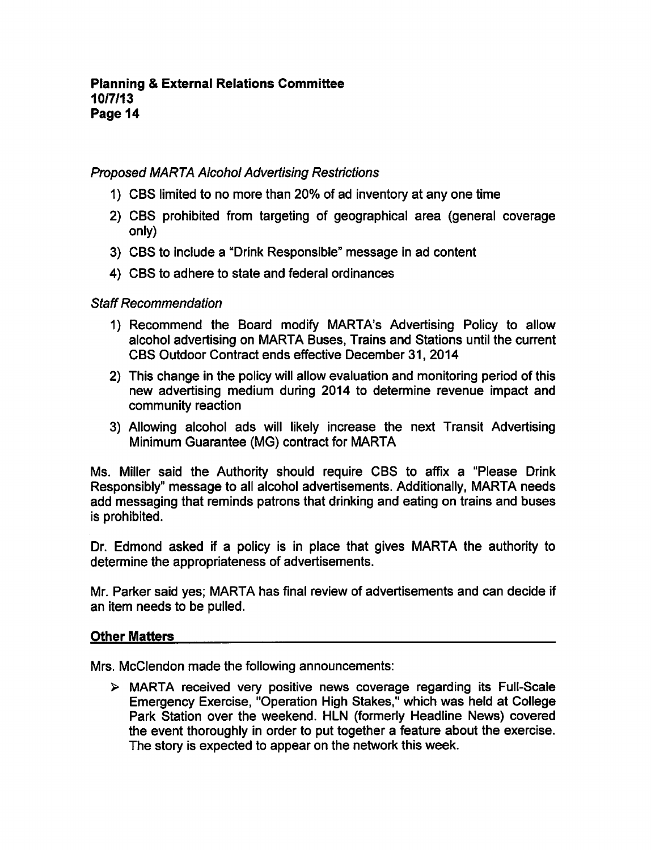### Proposed MARTA Alcohol Advertising Restrictions

- 1) CBS limited to no more than 20% of ad inventory at any one time
- 2) CBS prohibited from targeting of geographical area (general coverage only)
- 3) CBS to include a "Drink Responsible" message in ad content
- 4) CBS to adhere to state and federal ordinances

### Staff Recommendation

- 1) Recommend the Board modify MARTA's Advertising Policy to allow alcohol advertising on MARTA Buses, Trains and Stations until the current CBS Outdoor Contract ends effective December 31, 2014
- 2) This change in the policy will allow evaluation and monitoring period of this new advertising medium during 2014 to determine revenue impact and community reaction
- 3) Allowing alcohol ads will likely increase the next Transit Advertising Minimum Guarantee (MG) contract for MARTA

Ms. Miller said the Authority should require CBS to affix a "Please Drink" Responsibly" message to all alcohol advertisements. Additionally, MARTA needs add messaging that reminds patrons that drinking and eating on trains and buses is prohibited.

Dr. Edmond asked if a policy is in place that gives MARTA the authority to determine the appropriateness of advertisements.

Mr. Parker said yes; MARTA has final review of advertisements and can decide if an item needs to be pulled.

#### Other Matters

Mrs. McClendon made the following announcements:

MARTA received very positive news coverage regarding its Full-Scale Emergency Exercise, "Operation High Stakes," which was held at College Park Station over the weekend. HLN (formerly Headline News) covered the event thoroughly in order to put together a feature about the exercise. The story is expected to appear on the network this week.